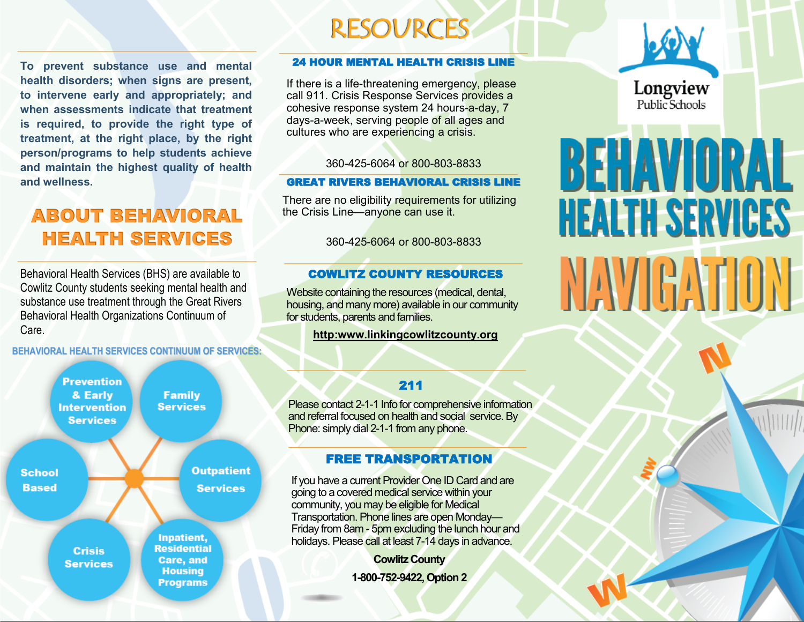**To prevent substance use and mental health disorders; when signs are present, to intervene early and appropriately; and when assessments indicate that treatment is required, to provide the right type of treatment, at the right place, by the right person/programs to help students achieve and maintain the highest quality of health and wellness.**

Ost

## ABOUT BEHAVIORAL HEALTH SERVICES

Behavioral Health Services (BHS) are available to Cowlitz County students seeking mental health and substance use treatment through the Great Rivers Behavioral Health Organizations Continuum of Care.

**BEHAVIORAL HEALTH SERVICES CONTINUUM OF SERVICES:**



#### 24 HOUR MENTAL HEALTH CRISIS LINE

**RESOURCES** 

If there is a life-threatening emergency, please call 911. Crisis Response Services provides a cohesive response system 24 hours-a-day, 7 days-a-week, serving people of all ages and cultures who are experiencing a crisis.

360-425-6064 or 800-803-8833

#### GREAT RIVERS BEHAVIORAL CRISIS LINE

There are no eligibility requirements for utilizing the Crisis Line—anyone can use it.

360-425-6064 or 800-803-8833

#### COWLITZ COUNTY RESOURCES

Website containing the resources (medical, dental, housing, and many more) available in our community for students, parents and families.

#### **http:www.linkingcowlitzcounty.org**

#### 211

Please contact 2-1-1 Info for comprehensive information and referral focused on health and social service. By Phone: simply dial 2-1-1 from any phone.

#### FREE TRANSPORTATION

If you have a current Provider One ID Card and are going to a covered medical service within your community, you may be eligible for Medical Transportation. Phone lines are open Monday— Friday from 8am - 5pm excluding the lunch hour and holidays. Please call at least 7-14 days in advance.

> **Cowlitz County 1-800-752-9422, Option 2**



# BEHAVIORAL **HEALTH SERVICES** NAVIGATION